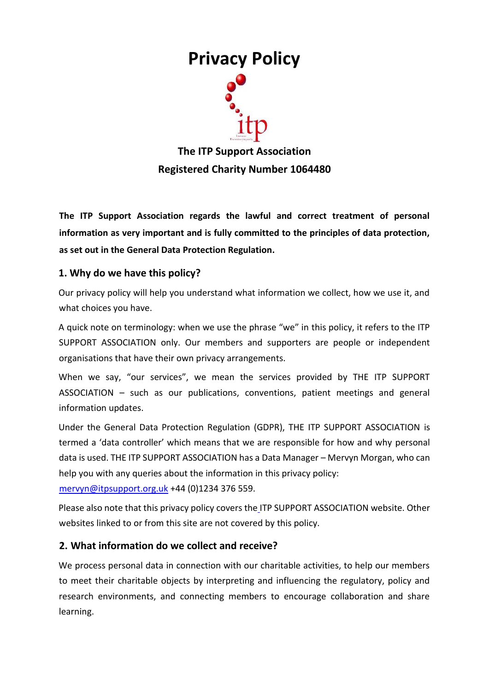# **Privacy Policy**

**The ITP Support Association Registered Charity Number 1064480**

**The ITP Support Association regards the lawful and correct treatment of personal information as very important and is fully committed to the principles of data protection, as set out in the General Data Protection Regulation.**

## **1. Why do we have this policy?**

Our privacy policy will help you understand what information we collect, how we use it, and what choices you have.

A quick note on terminology: when we use the phrase "we" in this policy, it refers to the ITP SUPPORT ASSOCIATION only. Our members and supporters are people or independent organisations that have their own privacy arrangements.

When we say, "our services", we mean the services provided by THE ITP SUPPORT ASSOCIATION – such as our publications, conventions, patient meetings and general information updates.

Under the General Data Protection Regulation (GDPR), THE ITP SUPPORT ASSOCIATION is termed a 'data controller' which means that we are responsible for how and why personal data is used. THE ITP SUPPORT ASSOCIATION has a Data Manager – Mervyn Morgan, who can help you with any queries about the information in this privacy policy:

mervyn@itpsupport.org.uk +44 (0)1234 376 559.

Please also note that this privacy policy covers the ITP SUPPORT ASSOCIATION website. Other websites linked to or from this site are not covered by this policy.

### **2. What information do we collect and receive?**

We process personal data in connection with our charitable activities, to help our members to meet their charitable objects by interpreting and influencing the regulatory, policy and research environments, and connecting members to encourage collaboration and share learning.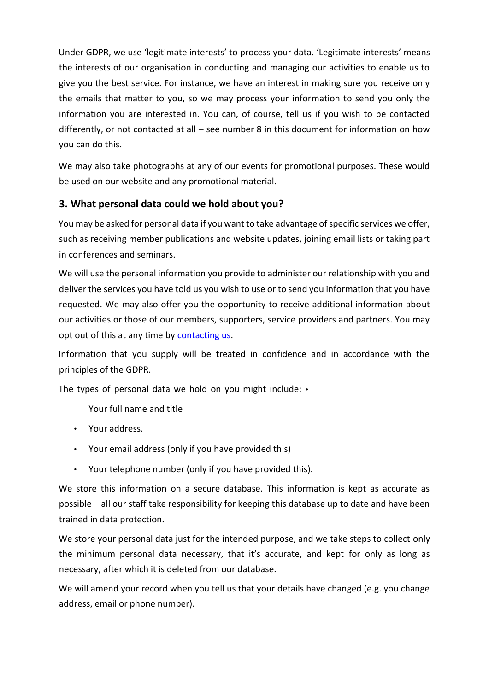Under GDPR, we use 'legitimate interests' to process your data. 'Legitimate interests' means the interests of our organisation in conducting and managing our activities to enable us to give you the best service. For instance, we have an interest in making sure you receive only the emails that matter to you, so we may process your information to send you only the information you are interested in. You can, of course, tell us if you wish to be contacted differently, or not contacted at all – see number 8 in this document for information on how you can do this.

We may also take photographs at any of our events for promotional purposes. These would be used on our website and any promotional material.

## **3. What personal data could we hold about you?**

You may be asked for personal data if you want to take advantage of specific services we offer, such as receiving member publications and website updates, joining email lists or taking part in conferences and seminars.

We will use the personal information you provide to administer our relationship with you and deliver the services you have told us you wish to use or to send you information that you have requested. We may also offer you the opportunity to receive additional information about our activities or those of our members, supporters, service providers and partners. You may opt out of this at any time by [contacting us.](https://www.itpsupport.org.uk/index.php/en/contact-us)

Information that you supply will be treated in confidence and in accordance with the principles of the GDPR.

The types of personal data we hold on you might include: •

Your full name and title

- Your address.
- Your email address (only if you have provided this)
- Your telephone number (only if you have provided this).

We store this information on a secure database. This information is kept as accurate as possible – all our staff take responsibility for keeping this database up to date and have been trained in data protection.

We store your personal data just for the intended purpose, and we take steps to collect only the minimum personal data necessary, that it's accurate, and kept for only as long as necessary, after which it is deleted from our database.

We will amend your record when you tell us that your details have changed (e.g. you change address, email or phone number).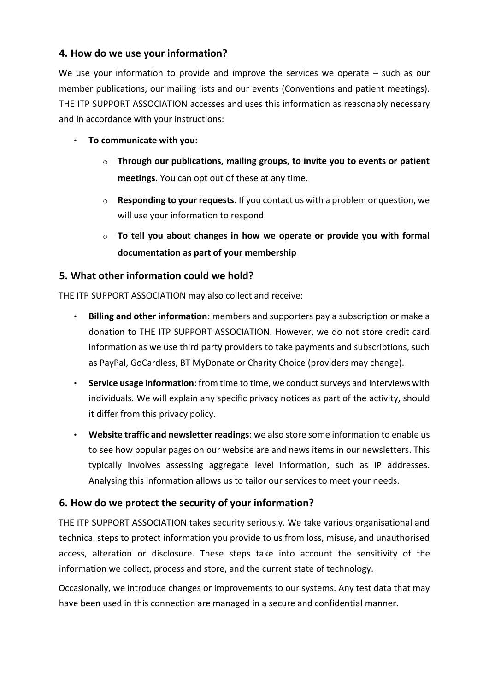### **4. How do we use your information?**

We use your information to provide and improve the services we operate  $-$  such as our member publications, our mailing lists and our events (Conventions and patient meetings). THE ITP SUPPORT ASSOCIATION accesses and uses this information as reasonably necessary and in accordance with your instructions:

- **To communicate with you:**
	- o **Through our publications, mailing groups, to invite you to events or patient meetings.** You can opt out of these at any time.
	- o **Responding to your requests.** If you contact us with a problem or question, we will use your information to respond.
	- o **To tell you about changes in how we operate or provide you with formal documentation as part of your membership**

### **5. What other information could we hold?**

THE ITP SUPPORT ASSOCIATION may also collect and receive:

- **Billing and other information**: members and supporters pay a subscription or make a donation to THE ITP SUPPORT ASSOCIATION. However, we do not store credit card information as we use third party providers to take payments and subscriptions, such as PayPal, GoCardless, BT MyDonate or Charity Choice (providers may change).
- **Service usage information**: from time to time, we conduct surveys and interviews with individuals. We will explain any specific privacy notices as part of the activity, should it differ from this privacy policy.
- **Website traffic and newsletter readings**: we also store some information to enable us to see how popular pages on our website are and news items in our newsletters. This typically involves assessing aggregate level information, such as IP addresses. Analysing this information allows us to tailor our services to meet your needs.

# **6. How do we protect the security of your information?**

THE ITP SUPPORT ASSOCIATION takes security seriously. We take various organisational and technical steps to protect information you provide to us from loss, misuse, and unauthorised access, alteration or disclosure. These steps take into account the sensitivity of the information we collect, process and store, and the current state of technology.

Occasionally, we introduce changes or improvements to our systems. Any test data that may have been used in this connection are managed in a secure and confidential manner.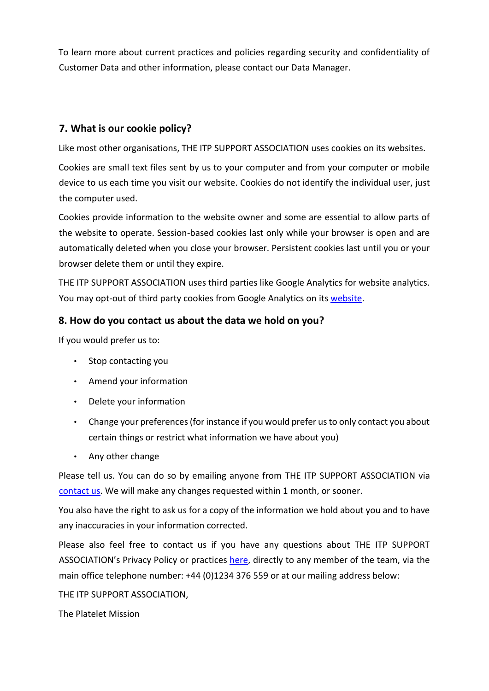To learn more about current practices and policies regarding security and confidentiality of Customer Data and other information, please contact our Data Manager.

# **7. What is our cookie policy?**

Like most other organisations, THE ITP SUPPORT ASSOCIATION uses cookies on its websites.

Cookies are small text files sent by us to your computer and from your computer or mobile device to us each time you visit our website. Cookies do not identify the individual user, just the computer used.

Cookies provide information to the website owner and some are essential to allow parts of the website to operate. Session-based cookies last only while your browser is open and are automatically deleted when you close your browser. Persistent cookies last until you or your browser delete them or until they expire.

THE ITP SUPPORT ASSOCIATION uses third parties like Google Analytics for website analytics. You may opt-out of third party cookies from Google Analytics on it[s website.](https://tools.google.com/dlpage/gaoptout)

#### **8. How do you contact us about the data we hold on you?**

If you would prefer us to:

- Stop contacting you
- Amend your information
- Delete your information
- Change your preferences (for instance if you would prefer us to only contact you about certain things or restrict what information we have about you)
- Any other change

Please tell us. You can do so by emailing anyone from THE ITP SUPPORT ASSOCIATION via [contact us.](https://www.itpsupport.org.uk/index.php/en/contact-us) We will make any changes requested within 1 month, or sooner.

You also have the right to ask us for a copy of the information we hold about you and to have any inaccuracies in your information corrected.

Please also feel free to contact us if you have any questions about THE ITP SUPPORT ASSOCIATION's Privacy Policy or practices [here,](https://www.itpsupport.org.uk/index.php/en/contact-us) directly to any member of the team, via the main office telephone number: +44 (0)1234 376 559 or at our mailing address below:

THE ITP SUPPORT ASSOCIATION,

The Platelet Mission